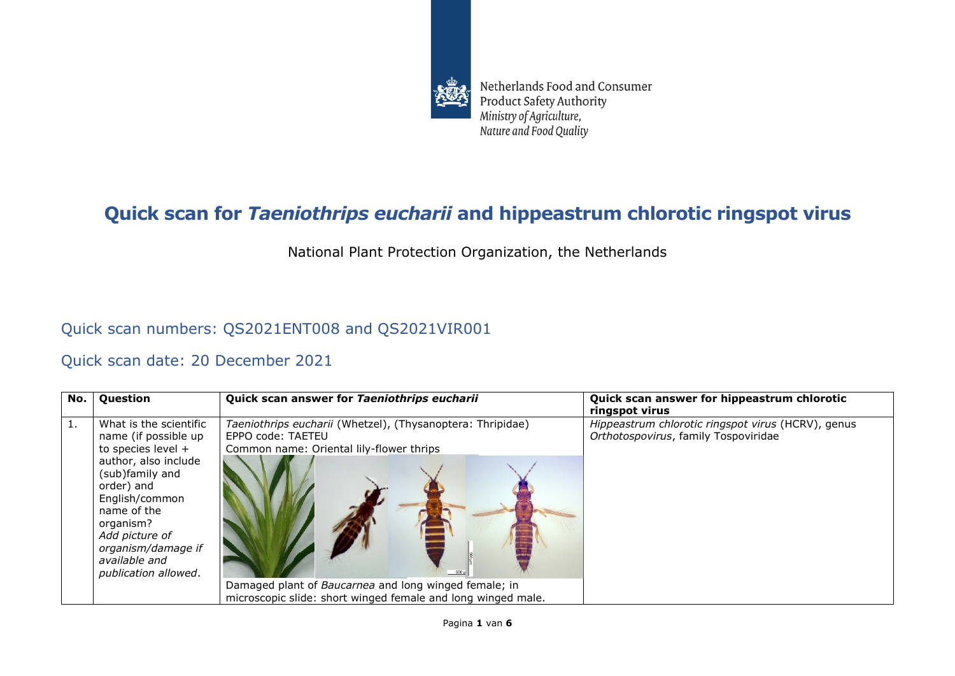

Netherlands Food and Consumer **Product Safety Authority** Ministry of Agriculture, Nature and Food Quality

## **Quick scan for** *Taeniothrips eucharii* **and hippeastrum chlorotic ringspot virus**

National Plant Protection Organization, the Netherlands

## Quick scan numbers: QS2021ENT008 and QS2021VIR001

## Quick scan date: 20 December 2021

| No. | Question                                                                                                                                                                                                                                                       | Quick scan answer for Taeniothrips eucharii                                                                                                                                                                                                          | Quick scan answer for hippeastrum chlorotic<br>ringspot virus                              |
|-----|----------------------------------------------------------------------------------------------------------------------------------------------------------------------------------------------------------------------------------------------------------------|------------------------------------------------------------------------------------------------------------------------------------------------------------------------------------------------------------------------------------------------------|--------------------------------------------------------------------------------------------|
|     | What is the scientific<br>name (if possible up<br>to species level $+$<br>author, also include<br>(sub)family and<br>order) and<br>English/common<br>name of the<br>organism?<br>Add picture of<br>organism/damage if<br>available and<br>publication allowed. | Taeniothrips eucharii (Whetzel), (Thysanoptera: Thripidae)<br>EPPO code: TAETEU<br>Common name: Oriental lily-flower thrips<br>Damaged plant of Baucarnea and long winged female; in<br>microscopic slide: short winged female and long winged male. | Hippeastrum chlorotic ringspot virus (HCRV), genus<br>Orthotospovirus, family Tospoviridae |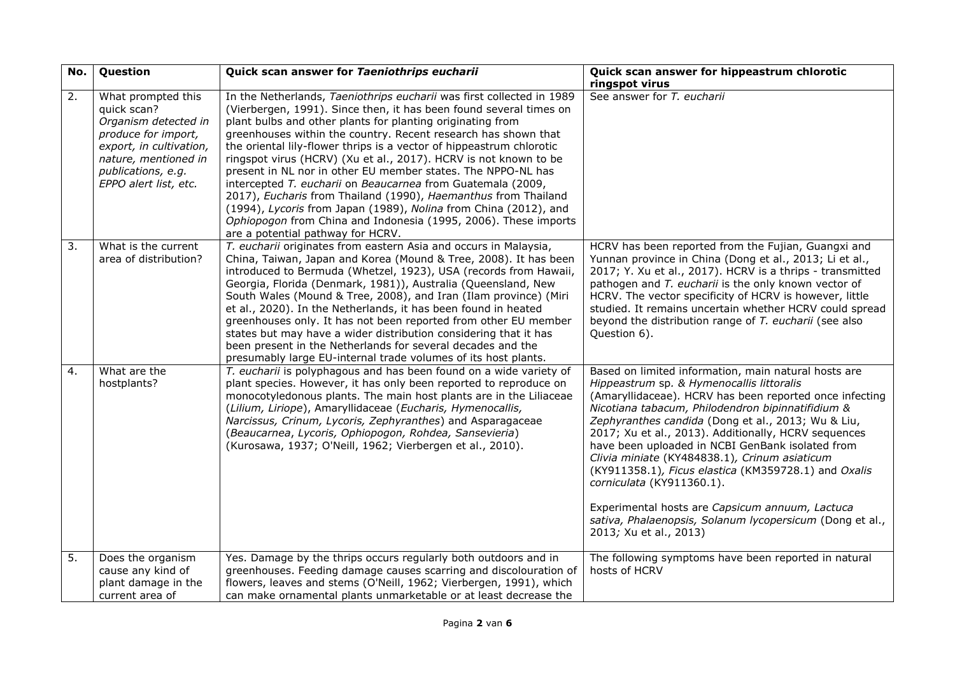| No. | Question                                                                                                                                                                           | Quick scan answer for Taeniothrips eucharii                                                                                                                                                                                                                                                                                                                                                                                                                                                                                                                                                                                                                                                                                                                                                          | Quick scan answer for hippeastrum chlorotic<br>ringspot virus                                                                                                                                                                                                                                                                                                                                                                                                                                                                                                                                                                                                      |
|-----|------------------------------------------------------------------------------------------------------------------------------------------------------------------------------------|------------------------------------------------------------------------------------------------------------------------------------------------------------------------------------------------------------------------------------------------------------------------------------------------------------------------------------------------------------------------------------------------------------------------------------------------------------------------------------------------------------------------------------------------------------------------------------------------------------------------------------------------------------------------------------------------------------------------------------------------------------------------------------------------------|--------------------------------------------------------------------------------------------------------------------------------------------------------------------------------------------------------------------------------------------------------------------------------------------------------------------------------------------------------------------------------------------------------------------------------------------------------------------------------------------------------------------------------------------------------------------------------------------------------------------------------------------------------------------|
| 2.  | What prompted this<br>quick scan?<br>Organism detected in<br>produce for import,<br>export, in cultivation,<br>nature, mentioned in<br>publications, e.g.<br>EPPO alert list, etc. | In the Netherlands, Taeniothrips eucharii was first collected in 1989<br>(Vierbergen, 1991). Since then, it has been found several times on<br>plant bulbs and other plants for planting originating from<br>greenhouses within the country. Recent research has shown that<br>the oriental lily-flower thrips is a vector of hippeastrum chlorotic<br>ringspot virus (HCRV) (Xu et al., 2017). HCRV is not known to be<br>present in NL nor in other EU member states. The NPPO-NL has<br>intercepted T. eucharii on Beaucarnea from Guatemala (2009,<br>2017), Eucharis from Thailand (1990), Haemanthus from Thailand<br>(1994), Lycoris from Japan (1989), Nolina from China (2012), and<br>Ophiopogon from China and Indonesia (1995, 2006). These imports<br>are a potential pathway for HCRV. | See answer for T. eucharii                                                                                                                                                                                                                                                                                                                                                                                                                                                                                                                                                                                                                                         |
| 3.  | What is the current<br>area of distribution?                                                                                                                                       | T. eucharii originates from eastern Asia and occurs in Malaysia,<br>China, Taiwan, Japan and Korea (Mound & Tree, 2008). It has been<br>introduced to Bermuda (Whetzel, 1923), USA (records from Hawaii,<br>Georgia, Florida (Denmark, 1981)), Australia (Queensland, New<br>South Wales (Mound & Tree, 2008), and Iran (Ilam province) (Miri<br>et al., 2020). In the Netherlands, it has been found in heated<br>greenhouses only. It has not been reported from other EU member<br>states but may have a wider distribution considering that it has<br>been present in the Netherlands for several decades and the<br>presumably large EU-internal trade volumes of its host plants.                                                                                                              | HCRV has been reported from the Fujian, Guangxi and<br>Yunnan province in China (Dong et al., 2013; Li et al.,<br>2017; Y. Xu et al., 2017). HCRV is a thrips - transmitted<br>pathogen and T. eucharii is the only known vector of<br>HCRV. The vector specificity of HCRV is however, little<br>studied. It remains uncertain whether HCRV could spread<br>beyond the distribution range of T. eucharii (see also<br>Question 6).                                                                                                                                                                                                                                |
| 4.  | What are the<br>hostplants?                                                                                                                                                        | T. eucharii is polyphagous and has been found on a wide variety of<br>plant species. However, it has only been reported to reproduce on<br>monocotyledonous plants. The main host plants are in the Liliaceae<br>(Lilium, Liriope), Amaryllidaceae (Eucharis, Hymenocallis,<br>Narcissus, Crinum, Lycoris, Zephyranthes) and Asparagaceae<br>(Beaucarnea, Lycoris, Ophiopogon, Rohdea, Sansevieria)<br>(Kurosawa, 1937; O'Neill, 1962; Vierbergen et al., 2010).                                                                                                                                                                                                                                                                                                                                     | Based on limited information, main natural hosts are<br>Hippeastrum sp. & Hymenocallis littoralis<br>(Amaryllidaceae). HCRV has been reported once infecting<br>Nicotiana tabacum, Philodendron bipinnatifidium &<br>Zephyranthes candida (Dong et al., 2013; Wu & Liu,<br>2017; Xu et al., 2013). Additionally, HCRV sequences<br>have been uploaded in NCBI GenBank isolated from<br>Clivia miniate (KY484838.1), Crinum asiaticum<br>(KY911358.1), Ficus elastica (KM359728.1) and Oxalis<br>corniculata (KY911360.1).<br>Experimental hosts are Capsicum annuum, Lactuca<br>sativa, Phalaenopsis, Solanum lycopersicum (Dong et al.,<br>2013; Xu et al., 2013) |
| 5.  | Does the organism<br>cause any kind of<br>plant damage in the<br>current area of                                                                                                   | Yes. Damage by the thrips occurs regularly both outdoors and in<br>greenhouses. Feeding damage causes scarring and discolouration of<br>flowers, leaves and stems (O'Neill, 1962; Vierbergen, 1991), which<br>can make ornamental plants unmarketable or at least decrease the                                                                                                                                                                                                                                                                                                                                                                                                                                                                                                                       | The following symptoms have been reported in natural<br>hosts of HCRV                                                                                                                                                                                                                                                                                                                                                                                                                                                                                                                                                                                              |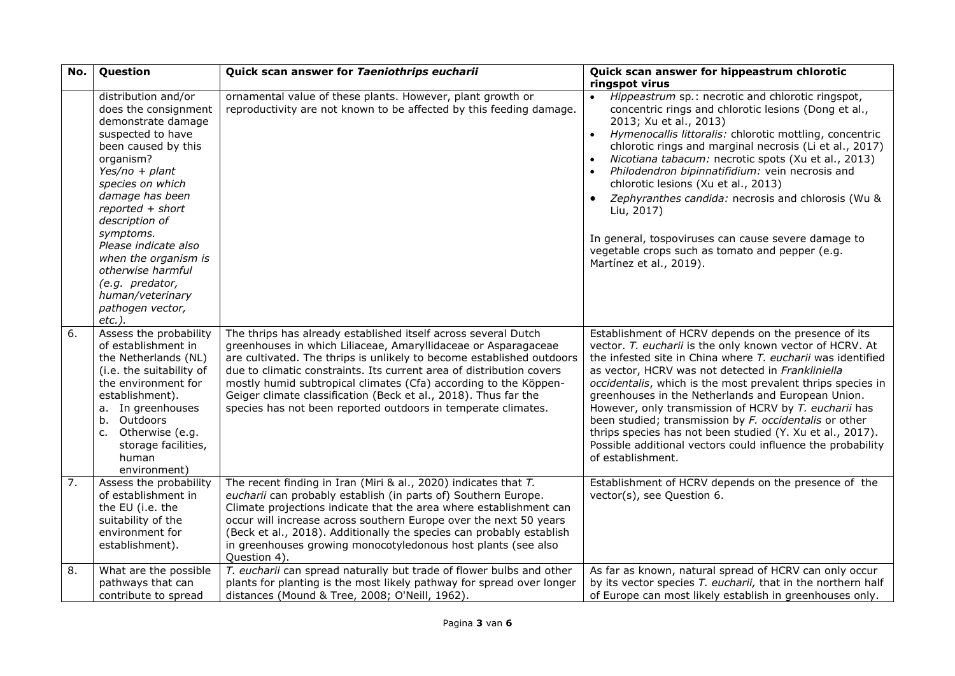| No. | Question                                                                                                                                                                                                                                                                                                                                                                         | Quick scan answer for Taeniothrips eucharii                                                                                                                                                                                                                                                                                                                                                                                                                                               | Quick scan answer for hippeastrum chlorotic<br>ringspot virus                                                                                                                                                                                                                                                                                                                                                                                                                                                                                                                                                                 |
|-----|----------------------------------------------------------------------------------------------------------------------------------------------------------------------------------------------------------------------------------------------------------------------------------------------------------------------------------------------------------------------------------|-------------------------------------------------------------------------------------------------------------------------------------------------------------------------------------------------------------------------------------------------------------------------------------------------------------------------------------------------------------------------------------------------------------------------------------------------------------------------------------------|-------------------------------------------------------------------------------------------------------------------------------------------------------------------------------------------------------------------------------------------------------------------------------------------------------------------------------------------------------------------------------------------------------------------------------------------------------------------------------------------------------------------------------------------------------------------------------------------------------------------------------|
|     | distribution and/or<br>does the consignment<br>demonstrate damage<br>suspected to have<br>been caused by this<br>organism?<br>Yes/no + plant<br>species on which<br>damage has been<br>reported + short<br>description of<br>symptoms.<br>Please indicate also<br>when the organism is<br>otherwise harmful<br>(e.g. predator,<br>human/veterinary<br>pathogen vector,<br>etc.). | ornamental value of these plants. However, plant growth or<br>reproductivity are not known to be affected by this feeding damage.                                                                                                                                                                                                                                                                                                                                                         | Hippeastrum sp.: necrotic and chlorotic ringspot,<br>concentric rings and chlorotic lesions (Dong et al.,<br>2013; Xu et al., 2013)<br>Hymenocallis littoralis: chlorotic mottling, concentric<br>chlorotic rings and marginal necrosis (Li et al., 2017)<br>Nicotiana tabacum: necrotic spots (Xu et al., 2013)<br>Philodendron bipinnatifidium: vein necrosis and<br>chlorotic lesions (Xu et al., 2013)<br>Zephyranthes candida: necrosis and chlorosis (Wu &<br>Liu, 2017)<br>In general, tospoviruses can cause severe damage to<br>vegetable crops such as tomato and pepper (e.g.<br>Martínez et al., 2019).           |
| 6.  | Assess the probability<br>of establishment in<br>the Netherlands (NL)<br>(i.e. the suitability of<br>the environment for<br>establishment).<br>a. In greenhouses<br>b. Outdoors<br>c. Otherwise (e.g.<br>storage facilities,<br>human<br>environment)                                                                                                                            | The thrips has already established itself across several Dutch<br>greenhouses in which Liliaceae, Amaryllidaceae or Asparagaceae<br>are cultivated. The thrips is unlikely to become established outdoors<br>due to climatic constraints. Its current area of distribution covers<br>mostly humid subtropical climates (Cfa) according to the Köppen-<br>Geiger climate classification (Beck et al., 2018). Thus far the<br>species has not been reported outdoors in temperate climates. | Establishment of HCRV depends on the presence of its<br>vector. T. eucharii is the only known vector of HCRV. At<br>the infested site in China where T. eucharii was identified<br>as vector, HCRV was not detected in Frankliniella<br>occidentalis, which is the most prevalent thrips species in<br>greenhouses in the Netherlands and European Union.<br>However, only transmission of HCRV by T. eucharii has<br>been studied; transmission by F. occidentalis or other<br>thrips species has not been studied (Y. Xu et al., 2017).<br>Possible additional vectors could influence the probability<br>of establishment. |
| 7.  | Assess the probability<br>of establishment in<br>the EU (i.e. the<br>suitability of the<br>environment for<br>establishment).                                                                                                                                                                                                                                                    | The recent finding in Iran (Miri & al., 2020) indicates that T.<br>eucharii can probably establish (in parts of) Southern Europe.<br>Climate projections indicate that the area where establishment can<br>occur will increase across southern Europe over the next 50 years<br>(Beck et al., 2018). Additionally the species can probably establish<br>in greenhouses growing monocotyledonous host plants (see also<br>Question 4).                                                     | Establishment of HCRV depends on the presence of the<br>vector(s), see Question 6.                                                                                                                                                                                                                                                                                                                                                                                                                                                                                                                                            |
| 8.  | What are the possible<br>pathways that can<br>contribute to spread                                                                                                                                                                                                                                                                                                               | T. eucharii can spread naturally but trade of flower bulbs and other<br>plants for planting is the most likely pathway for spread over longer<br>distances (Mound & Tree, 2008; O'Neill, 1962).                                                                                                                                                                                                                                                                                           | As far as known, natural spread of HCRV can only occur<br>by its vector species T. eucharii, that in the northern half<br>of Europe can most likely establish in greenhouses only.                                                                                                                                                                                                                                                                                                                                                                                                                                            |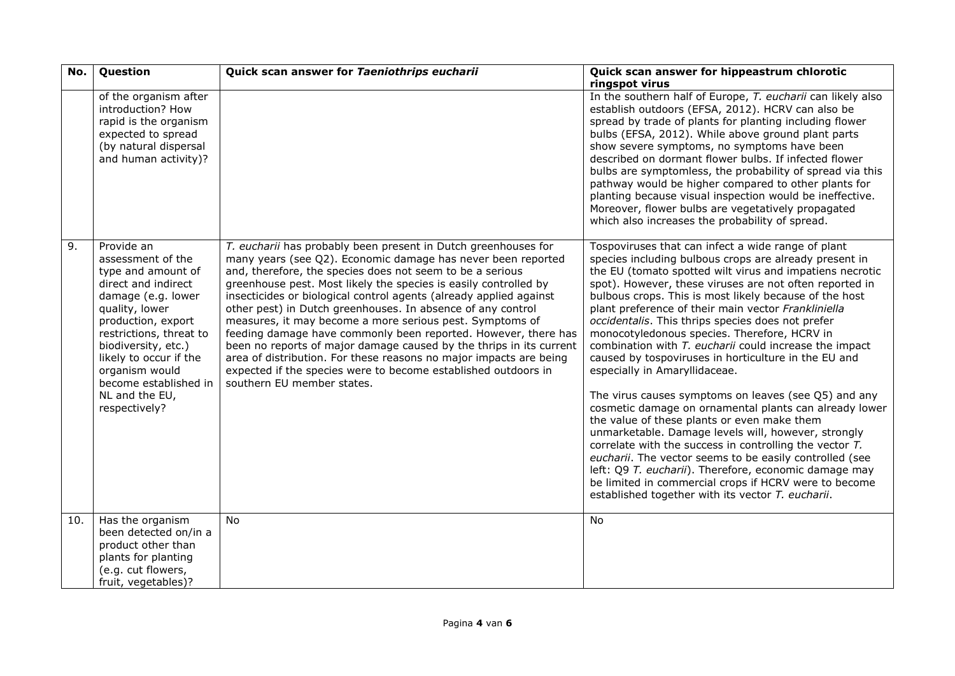| No. | Question                                                                                                                                                                                                                                                                                             | Quick scan answer for Taeniothrips eucharii                                                                                                                                                                                                                                                                                                                                                                                                                                                                                                                                                                                                                                                                                                                                     | Quick scan answer for hippeastrum chlorotic                                                                                                                                                                                                                                                                                                                                                                                                                                                                                                                                                                                                                                                                                                                                                                                                                                                                                                                                                                                                                                                                                       |
|-----|------------------------------------------------------------------------------------------------------------------------------------------------------------------------------------------------------------------------------------------------------------------------------------------------------|---------------------------------------------------------------------------------------------------------------------------------------------------------------------------------------------------------------------------------------------------------------------------------------------------------------------------------------------------------------------------------------------------------------------------------------------------------------------------------------------------------------------------------------------------------------------------------------------------------------------------------------------------------------------------------------------------------------------------------------------------------------------------------|-----------------------------------------------------------------------------------------------------------------------------------------------------------------------------------------------------------------------------------------------------------------------------------------------------------------------------------------------------------------------------------------------------------------------------------------------------------------------------------------------------------------------------------------------------------------------------------------------------------------------------------------------------------------------------------------------------------------------------------------------------------------------------------------------------------------------------------------------------------------------------------------------------------------------------------------------------------------------------------------------------------------------------------------------------------------------------------------------------------------------------------|
|     | of the organism after<br>introduction? How<br>rapid is the organism<br>expected to spread<br>(by natural dispersal<br>and human activity)?                                                                                                                                                           |                                                                                                                                                                                                                                                                                                                                                                                                                                                                                                                                                                                                                                                                                                                                                                                 | ringspot virus<br>In the southern half of Europe, T. eucharii can likely also<br>establish outdoors (EFSA, 2012). HCRV can also be<br>spread by trade of plants for planting including flower<br>bulbs (EFSA, 2012). While above ground plant parts<br>show severe symptoms, no symptoms have been<br>described on dormant flower bulbs. If infected flower<br>bulbs are symptomless, the probability of spread via this<br>pathway would be higher compared to other plants for<br>planting because visual inspection would be ineffective.<br>Moreover, flower bulbs are vegetatively propagated<br>which also increases the probability of spread.                                                                                                                                                                                                                                                                                                                                                                                                                                                                             |
| 9.  | Provide an<br>assessment of the<br>type and amount of<br>direct and indirect<br>damage (e.g. lower<br>quality, lower<br>production, export<br>restrictions, threat to<br>biodiversity, etc.)<br>likely to occur if the<br>organism would<br>become established in<br>NL and the EU,<br>respectively? | T. eucharii has probably been present in Dutch greenhouses for<br>many years (see Q2). Economic damage has never been reported<br>and, therefore, the species does not seem to be a serious<br>greenhouse pest. Most likely the species is easily controlled by<br>insecticides or biological control agents (already applied against<br>other pest) in Dutch greenhouses. In absence of any control<br>measures, it may become a more serious pest. Symptoms of<br>feeding damage have commonly been reported. However, there has<br>been no reports of major damage caused by the thrips in its current<br>area of distribution. For these reasons no major impacts are being<br>expected if the species were to become established outdoors in<br>southern EU member states. | Tospoviruses that can infect a wide range of plant<br>species including bulbous crops are already present in<br>the EU (tomato spotted wilt virus and impatiens necrotic<br>spot). However, these viruses are not often reported in<br>bulbous crops. This is most likely because of the host<br>plant preference of their main vector Frankliniella<br>occidentalis. This thrips species does not prefer<br>monocotyledonous species. Therefore, HCRV in<br>combination with T. eucharii could increase the impact<br>caused by tospoviruses in horticulture in the EU and<br>especially in Amaryllidaceae.<br>The virus causes symptoms on leaves (see Q5) and any<br>cosmetic damage on ornamental plants can already lower<br>the value of these plants or even make them<br>unmarketable. Damage levels will, however, strongly<br>correlate with the success in controlling the vector T.<br>eucharii. The vector seems to be easily controlled (see<br>left: Q9 T. eucharii). Therefore, economic damage may<br>be limited in commercial crops if HCRV were to become<br>established together with its vector T. eucharii. |
| 10. | Has the organism<br>been detected on/in a<br>product other than                                                                                                                                                                                                                                      | <b>No</b>                                                                                                                                                                                                                                                                                                                                                                                                                                                                                                                                                                                                                                                                                                                                                                       | <b>No</b>                                                                                                                                                                                                                                                                                                                                                                                                                                                                                                                                                                                                                                                                                                                                                                                                                                                                                                                                                                                                                                                                                                                         |
|     | plants for planting<br>(e.g. cut flowers,                                                                                                                                                                                                                                                            |                                                                                                                                                                                                                                                                                                                                                                                                                                                                                                                                                                                                                                                                                                                                                                                 |                                                                                                                                                                                                                                                                                                                                                                                                                                                                                                                                                                                                                                                                                                                                                                                                                                                                                                                                                                                                                                                                                                                                   |
|     | fruit, vegetables)?                                                                                                                                                                                                                                                                                  |                                                                                                                                                                                                                                                                                                                                                                                                                                                                                                                                                                                                                                                                                                                                                                                 |                                                                                                                                                                                                                                                                                                                                                                                                                                                                                                                                                                                                                                                                                                                                                                                                                                                                                                                                                                                                                                                                                                                                   |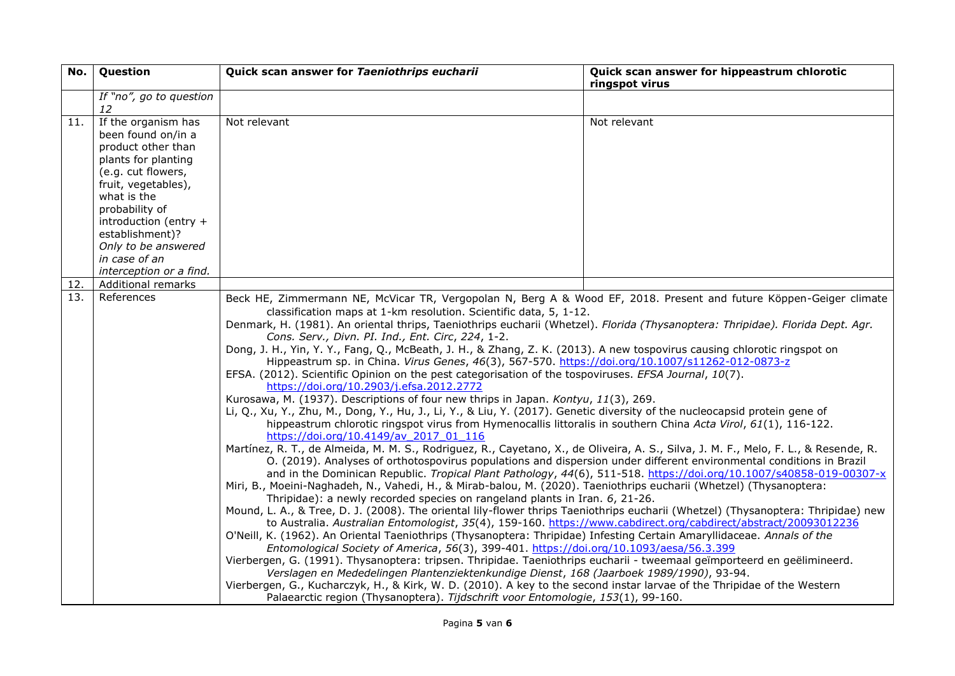| No. | Question                                                                                                                                                                                                                                                 | Quick scan answer for Taeniothrips eucharii                                                                                                                                                                                                                                                                                                                                                                                                                                                                                                                                                                                                                                                                                                                                                                                                                                                                                                                                                                                                                                                                                                                                                                                                                                                                                                                                                                                                                                                                                                                                                                                                                                                                                                                                                                                                                                                                                                                                                                                                                                                                                                                                                                                                                                                                                                                                                                                                                                                                                                                                     | Quick scan answer for hippeastrum chlorotic<br>ringspot virus |
|-----|----------------------------------------------------------------------------------------------------------------------------------------------------------------------------------------------------------------------------------------------------------|---------------------------------------------------------------------------------------------------------------------------------------------------------------------------------------------------------------------------------------------------------------------------------------------------------------------------------------------------------------------------------------------------------------------------------------------------------------------------------------------------------------------------------------------------------------------------------------------------------------------------------------------------------------------------------------------------------------------------------------------------------------------------------------------------------------------------------------------------------------------------------------------------------------------------------------------------------------------------------------------------------------------------------------------------------------------------------------------------------------------------------------------------------------------------------------------------------------------------------------------------------------------------------------------------------------------------------------------------------------------------------------------------------------------------------------------------------------------------------------------------------------------------------------------------------------------------------------------------------------------------------------------------------------------------------------------------------------------------------------------------------------------------------------------------------------------------------------------------------------------------------------------------------------------------------------------------------------------------------------------------------------------------------------------------------------------------------------------------------------------------------------------------------------------------------------------------------------------------------------------------------------------------------------------------------------------------------------------------------------------------------------------------------------------------------------------------------------------------------------------------------------------------------------------------------------------------------|---------------------------------------------------------------|
|     | If "no", go to question<br>12                                                                                                                                                                                                                            |                                                                                                                                                                                                                                                                                                                                                                                                                                                                                                                                                                                                                                                                                                                                                                                                                                                                                                                                                                                                                                                                                                                                                                                                                                                                                                                                                                                                                                                                                                                                                                                                                                                                                                                                                                                                                                                                                                                                                                                                                                                                                                                                                                                                                                                                                                                                                                                                                                                                                                                                                                                 |                                                               |
| 11. | If the organism has<br>been found on/in a<br>product other than<br>plants for planting<br>(e.g. cut flowers,<br>fruit, vegetables),<br>what is the<br>probability of<br>introduction (entry +<br>establishment)?<br>Only to be answered<br>in case of an | Not relevant                                                                                                                                                                                                                                                                                                                                                                                                                                                                                                                                                                                                                                                                                                                                                                                                                                                                                                                                                                                                                                                                                                                                                                                                                                                                                                                                                                                                                                                                                                                                                                                                                                                                                                                                                                                                                                                                                                                                                                                                                                                                                                                                                                                                                                                                                                                                                                                                                                                                                                                                                                    | Not relevant                                                  |
| 12. | interception or a find.<br>Additional remarks                                                                                                                                                                                                            |                                                                                                                                                                                                                                                                                                                                                                                                                                                                                                                                                                                                                                                                                                                                                                                                                                                                                                                                                                                                                                                                                                                                                                                                                                                                                                                                                                                                                                                                                                                                                                                                                                                                                                                                                                                                                                                                                                                                                                                                                                                                                                                                                                                                                                                                                                                                                                                                                                                                                                                                                                                 |                                                               |
| 13. | References                                                                                                                                                                                                                                               | Beck HE, Zimmermann NE, McVicar TR, Vergopolan N, Berg A & Wood EF, 2018. Present and future Köppen-Geiger climate<br>classification maps at 1-km resolution. Scientific data, 5, 1-12.<br>Denmark, H. (1981). An oriental thrips, Taeniothrips eucharii (Whetzel). Florida (Thysanoptera: Thripidae). Florida Dept. Agr.<br>Cons. Serv., Divn. PI. Ind., Ent. Circ, 224, 1-2.<br>Dong, J. H., Yin, Y. Y., Fang, Q., McBeath, J. H., & Zhang, Z. K. (2013). A new tospovirus causing chlorotic ringspot on<br>Hippeastrum sp. in China. Virus Genes, 46(3), 567-570. https://doi.org/10.1007/s11262-012-0873-z<br>EFSA. (2012). Scientific Opinion on the pest categorisation of the tospoviruses. EFSA Journal, 10(7).<br>https://doi.org/10.2903/j.efsa.2012.2772<br>Kurosawa, M. (1937). Descriptions of four new thrips in Japan. Kontyu, 11(3), 269.<br>Li, Q., Xu, Y., Zhu, M., Dong, Y., Hu, J., Li, Y., & Liu, Y. (2017). Genetic diversity of the nucleocapsid protein gene of<br>hippeastrum chlorotic ringspot virus from Hymenocallis littoralis in southern China Acta Virol, 61(1), 116-122.<br>https://doi.org/10.4149/av 2017 01 116<br>Martínez, R. T., de Almeida, M. M. S., Rodriguez, R., Cayetano, X., de Oliveira, A. S., Silva, J. M. F., Melo, F. L., & Resende, R.<br>O. (2019). Analyses of orthotospovirus populations and dispersion under different environmental conditions in Brazil<br>and in the Dominican Republic. Tropical Plant Pathology, 44(6), 511-518. https://doi.org/10.1007/s40858-019-00307-x<br>Miri, B., Moeini-Naghadeh, N., Vahedi, H., & Mirab-balou, M. (2020). Taeniothrips eucharii (Whetzel) (Thysanoptera:<br>Thripidae): a newly recorded species on rangeland plants in Iran. 6, 21-26.<br>Mound, L. A., & Tree, D. J. (2008). The oriental lily-flower thrips Taeniothrips eucharii (Whetzel) (Thysanoptera: Thripidae) new<br>to Australia. Australian Entomologist, 35(4), 159-160. https://www.cabdirect.org/cabdirect/abstract/20093012236<br>O'Neill, K. (1962). An Oriental Taeniothrips (Thysanoptera: Thripidae) Infesting Certain Amaryllidaceae. Annals of the<br>Entomological Society of America, 56(3), 399-401. https://doi.org/10.1093/aesa/56.3.399<br>Vierbergen, G. (1991). Thysanoptera: tripsen. Thripidae. Taeniothrips eucharii - tweemaal geïmporteerd en geëlimineerd.<br>Verslagen en Mededelingen Plantenziektenkundige Dienst, 168 (Jaarboek 1989/1990), 93-94.<br>Vierbergen, G., Kucharczyk, H., & Kirk, W. D. (2010). A key to the second instar larvae of the Thripidae of the Western |                                                               |